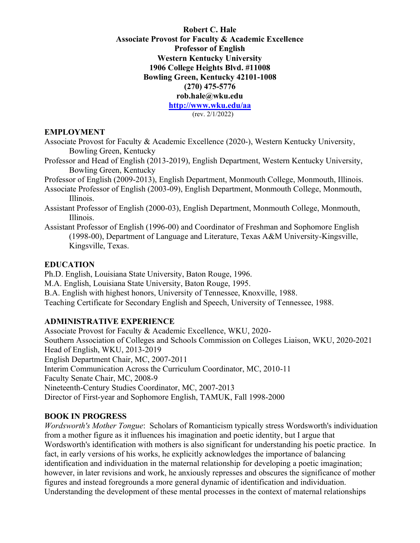**Robert C. Hale Associate Provost for Faculty & Academic Excellence Professor of English Western Kentucky University 1906 College Heights Blvd. #11008 Bowling Green, Kentucky 42101-1008 (270) 475-5776 rob.hale@wku.edu <http://www.wku.edu/aa>** [\(rev. 2/1/2022\)](http://www.wku.edu/aa)

#### **EMPLOYMENT**

Associate Provost for Faculty & Academic Excellence (2020-), Western Kentucky University, Bowling Green, Kentucky

Professor and Head of English (2013-2019), English Department, Western Kentucky University, Bowling Green, Kentucky

Professor of English (2009-2013), English Department, Monmouth College, Monmouth, Illinois.

Associate Professor of English (2003-09), English Department, Monmouth College, Monmouth, Illinois.

- Assistant Professor of English (2000-03), English Department, Monmouth College, Monmouth, Illinois.
- Assistant Professor of English (1996-00) and Coordinator of Freshman and Sophomore English (1998-00), Department of Language and Literature, Texas A&M University-Kingsville, Kingsville, Texas.

## **EDUCATION**

Ph.D. English, Louisiana State University, Baton Rouge, 1996. M.A. English, Louisiana State University, Baton Rouge, 1995. B.A. English with highest honors, University of Tennessee, Knoxville, 1988. Teaching Certificate for Secondary English and Speech, University of Tennessee, 1988.

## **ADMINISTRATIVE EXPERIENCE**

Associate Provost for Faculty & Academic Excellence, WKU, 2020- Southern Association of Colleges and Schools Commission on Colleges Liaison, WKU, 2020-2021 Head of English, WKU, 2013-2019 English Department Chair, MC, 2007-2011 Interim Communication Across the Curriculum Coordinator, MC, 2010-11 Faculty Senate Chair, MC, 2008-9 Nineteenth-Century Studies Coordinator, MC, 2007-2013 Director of First-year and Sophomore English, TAMUK, Fall 1998-2000

## **BOOK IN PROGRESS**

*Wordsworth's Mother Tongue*: Scholars of Romanticism typically stress Wordsworth's individuation from a mother figure as it influences his imagination and poetic identity, but I argue that Wordsworth's identification with mothers is also significant for understanding his poetic practice. In fact, in early versions of his works, he explicitly acknowledges the importance of balancing identification and individuation in the maternal relationship for developing a poetic imagination; however, in later revisions and work, he anxiously represses and obscures the significance of mother figures and instead foregrounds a more general dynamic of identification and individuation. Understanding the development of these mental processes in the context of maternal relationships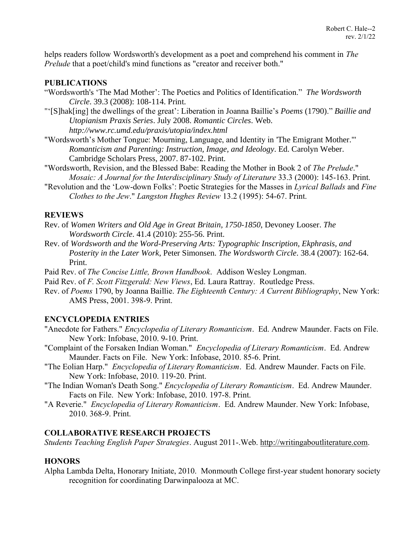helps readers follow Wordsworth's development as a poet and comprehend his comment in *The Prelude* that a poet/child's mind functions as "creator and receiver both."

### **PUBLICATIONS**

- "Wordsworth's 'The Mad Mother': The Poetics and Politics of Identification." *The Wordsworth Circle*. 39.3 (2008): 108-114. Print.
- "'[S]hak[ing] the dwellings of the great': Liberation in Joanna Baillie's *Poems* (1790)." *Baillie and Utopianism Praxis Series*. July 2008. *Romantic [C](http://www.rc.umd.edu/praxis/utopia/index.html)ircles*. Web. *<http://www.rc.umd.edu/praxis/utopia/index.html>*
- ["Wordsworth's Mother Tongue: Mourning, Langua](http://www.rc.umd.edu/praxis/utopia/index.html)ge, and Identity in 'The Emigrant Mother.'" *Romanticism and Parenting: Instruction, Image, and Ideology*. Ed. Carolyn Weber. Cambridge Scholars Press, 2007. 87-102. Print.
- "Wordsworth, Revision, and the Blessed Babe: Reading the Mother in Book 2 of *The Prelude*." *Mosaic: A Journal for the Interdisciplinary Study of Literature* 33.3 (2000): 145-163. Print.
- "Revolution and the 'Low-down Folks': Poetic Strategies for the Masses in *Lyrical Ballads* and *Fine Clothes to the Jew*." *Langston Hughes Review* 13.2 (1995): 54-67. Print.

### **REVIEWS**

- Rev. of *Women Writers and Old Age in Great Britain, 1750-1850*, Devoney Looser. *The Wordsworth Circle*. 41.4 (2010): 255-56. Print.
- Rev. of *Wordsworth and the Word-Preserving Arts: Typographic Inscription, Ekphrasis, and Posterity in the Later Work*, Peter Simonsen. *The Wordsworth Circle*. 38.4 (2007): 162-64. Print.
- Paid Rev. of *The Concise Little, Brown Handbook*. Addison Wesley Longman.
- Paid Rev. of *F. Scott Fitzgerald: New Views*, Ed. Laura Rattray. Routledge Press.
- Rev. of *Poems* 1790, by Joanna Baillie. *The Eighteenth Century: A Current Bibliography*, New York: AMS Press, 2001. 398-9. Print.

## **ENCYCLOPEDIA ENTRIES**

- "Anecdote for Fathers." *Encyclopedia of Literary Romanticism*. Ed. Andrew Maunder. Facts on File. New York: Infobase, 2010. 9-10. Print.
- "Complaint of the Forsaken Indian Woman." *Encyclopedia of Literary Romanticism*. Ed. Andrew Maunder. Facts on File. New York: Infobase, 2010. 85-6. Print.
- "The Eolian Harp." *Encyclopedia of Literary Romanticism*. Ed. Andrew Maunder. Facts on File. New York: Infobase, 2010. 119-20. Print.
- "The Indian Woman's Death Song." *Encyclopedia of Literary Romanticism*. Ed. Andrew Maunder. Facts on File. New York: Infobase, 2010. 197-8. Print.
- "A Reverie." *Encyclopedia of Literary Romanticism*. Ed. Andrew Maunder. New York: Infobase, 2010. 368-9. Print.

## **COLLABORATIVE RESEARCH PROJECTS**

*Students Teaching English Paper Strategies*. August 2011-.Web. [http://writingaboutliterature.com.](http://writingaboutliterature.com/) 

## **[HONORS](http://writingaboutliterature.com/)**

[Alpha Lambda Delta, Ho](http://writingaboutliterature.com/)norary Initiate, 2010. Monmouth College first-year student honorary society recognition for coordinating Darwinpalooza at MC.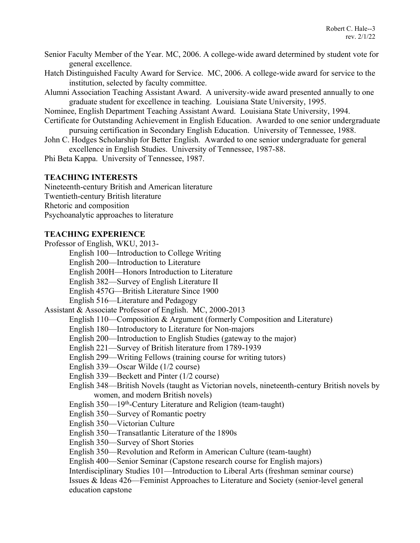- Senior Faculty Member of the Year. MC, 2006. A college-wide award determined by student vote for general excellence.
- Hatch Distinguished Faculty Award for Service. MC, 2006. A college-wide award for service to the institution, selected by faculty committee.
- Alumni Association Teaching Assistant Award. A university-wide award presented annually to one graduate student for excellence in teaching. Louisiana State University, 1995.

Nominee, English Department Teaching Assistant Award. Louisiana State University, 1994.

- Certificate for Outstanding Achievement in English Education. Awarded to one senior undergraduate pursuing certification in Secondary English Education. University of Tennessee, 1988.
- John C. Hodges Scholarship for Better English. Awarded to one senior undergraduate for general excellence in English Studies. University of Tennessee, 1987-88.

Phi Beta Kappa. University of Tennessee, 1987.

### **TEACHING INTERESTS**

Nineteenth-century British and American literature Twentieth-century British literature Rhetoric and composition Psychoanalytic approaches to literature

#### **TEACHING EXPERIENCE**

Professor of English, WKU, 2013- English 100—Introduction to College Writing English 200—Introduction to Literature English 200H—Honors Introduction to Literature English 382—Survey of English Literature II English 457G—British Literature Since 1900 English 516—Literature and Pedagogy Assistant & Associate Professor of English. MC, 2000-2013 English 110—Composition & Argument (formerly Composition and Literature) English 180—Introductory to Literature for Non-majors English 200—Introduction to English Studies (gateway to the major) English 221—Survey of British literature from 1789-1939 English 299—Writing Fellows (training course for writing tutors) English 339—Oscar Wilde (1/2 course) English 339—Beckett and Pinter (1/2 course) English 348—British Novels (taught as Victorian novels, nineteenth-century British novels by women, and modern British novels) English 350—19<sup>th</sup>-Century Literature and Religion (team-taught) English 350—Survey of Romantic poetry English 350—Victorian Culture English 350—Transatlantic Literature of the 1890s English 350—Survey of Short Stories English 350—Revolution and Reform in American Culture (team-taught) English 400—Senior Seminar (Capstone research course for English majors) Interdisciplinary Studies 101—Introduction to Liberal Arts (freshman seminar course) Issues & Ideas 426—Feminist Approaches to Literature and Society (senior-level general education capstone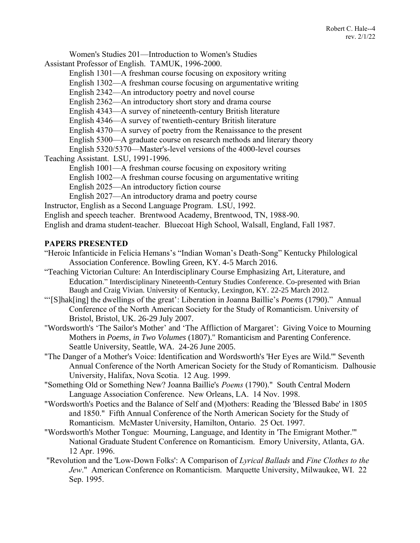Women's Studies 201—Introduction to Women's Studies

Assistant Professor of English. TAMUK, 1996-2000.

English 1301—A freshman course focusing on expository writing

English 1302—A freshman course focusing on argumentative writing

English 2342—An introductory poetry and novel course

English 2362—An introductory short story and drama course

English 4343—A survey of nineteenth-century British literature

English 4346—A survey of twentieth-century British literature

English 4370—A survey of poetry from the Renaissance to the present

English 5300—A graduate course on research methods and literary theory

English 5320/5370—Master's-level versions of the 4000-level courses

Teaching Assistant. LSU, 1991-1996.

English 1001—A freshman course focusing on expository writing

English 1002—A freshman course focusing on argumentative writing

English 2025—An introductory fiction course

English 2027—An introductory drama and poetry course

Instructor, English as a Second Language Program. LSU, 1992.

English and speech teacher. Brentwood Academy, Brentwood, TN, 1988-90.

English and drama student-teacher. Bluecoat High School, Walsall, England, Fall 1987.

### **PAPERS PRESENTED**

- "Heroic Infanticide in Felicia Hemans's "Indian Woman's Death-Song" Kentucky Philological Association Conference. Bowling Green, KY. 4-5 March 2016.
- "Teaching Victorian Culture: An Interdisciplinary Course Emphasizing Art, Literature, and Education." Interdisciplinary Nineteenth-Century Studies Conference. Co-presented with Brian Baugh and Craig Vivian. University of Kentucky, Lexington, KY. 22-25 March 2012.
- "'[S]hak[ing] the dwellings of the great': Liberation in Joanna Baillie's *Poems* (1790)." Annual Conference of the North American Society for the Study of Romanticism. University of Bristol, Bristol, UK. 26-29 July 2007.
- "Wordsworth's 'The Sailor's Mother' and 'The Affliction of Margaret': Giving Voice to Mourning Mothers in *Poems, in Two Volumes* (1807)." Romanticism and Parenting Conference. Seattle University, Seattle, WA. 24-26 June 2005.
- "The Danger of a Mother's Voice: Identification and Wordsworth's 'Her Eyes are Wild.'" Seventh Annual Conference of the North American Society for the Study of Romanticism. Dalhousie University, Halifax, Nova Scotia. 12 Aug. 1999.
- "Something Old or Something New? Joanna Baillie's *Poems* (1790)." South Central Modern Language Association Conference. New Orleans, LA. 14 Nov. 1998.
- "Wordsworth's Poetics and the Balance of Self and (M)others: Reading the 'Blessed Babe' in 1805 and 1850." Fifth Annual Conference of the North American Society for the Study of Romanticism. McMaster University, Hamilton, Ontario. 25 Oct. 1997.
- "Wordsworth's Mother Tongue: Mourning, Language, and Identity in 'The Emigrant Mother.'" National Graduate Student Conference on Romanticism. Emory University, Atlanta, GA. 12 Apr. 1996.
- "Revolution and the 'Low-Down Folks': A Comparison of *Lyrical Ballads* and *Fine Clothes to the Jew*." American Conference on Romanticism. Marquette University, Milwaukee, WI. 22 Sep. 1995.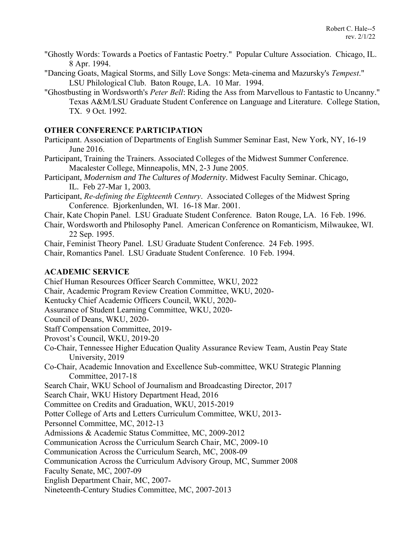- "Ghostly Words: Towards a Poetics of Fantastic Poetry." Popular Culture Association. Chicago, IL. 8 Apr. 1994.
- "Dancing Goats, Magical Storms, and Silly Love Songs: Meta-cinema and Mazursky's *Tempest*." LSU Philological Club. Baton Rouge, LA. 10 Mar. 1994.
- "Ghostbusting in Wordsworth's *Peter Bell*: Riding the Ass from Marvellous to Fantastic to Uncanny." Texas A&M/LSU Graduate Student Conference on Language and Literature. College Station, TX. 9 Oct. 1992.

#### **OTHER CONFERENCE PARTICIPATION**

- Participant. Association of Departments of English Summer Seminar East, New York, NY, 16-19 June 2016.
- Participant, Training the Trainers. Associated Colleges of the Midwest Summer Conference. Macalester College, Minneapolis, MN, 2-3 June 2005.
- Participant, *Modernism and The Cultures of Modernity*. Midwest Faculty Seminar. Chicago, IL. Feb 27-Mar 1, 2003.
- Participant, *Re-defining the Eighteenth Century*. Associated Colleges of the Midwest Spring Conference. Bjorkenlunden, WI. 16-18 Mar. 2001.
- Chair, Kate Chopin Panel. LSU Graduate Student Conference. Baton Rouge, LA. 16 Feb. 1996.
- Chair, Wordsworth and Philosophy Panel. American Conference on Romanticism, Milwaukee, WI. 22 Sep. 1995.

Chair, Feminist Theory Panel. LSU Graduate Student Conference. 24 Feb. 1995.

Chair, Romantics Panel. LSU Graduate Student Conference. 10 Feb. 1994.

#### **ACADEMIC SERVICE**

Chief Human Resources Officer Search Committee, WKU, 2022

- Chair, Academic Program Review Creation Committee, WKU, 2020-
- Kentucky Chief Academic Officers Council, WKU, 2020-
- Assurance of Student Learning Committee, WKU, 2020-
- Council of Deans, WKU, 2020-
- Staff Compensation Committee, 2019-
- Provost's Council, WKU, 2019-20
- Co-Chair, Tennessee Higher Education Quality Assurance Review Team, Austin Peay State University, 2019
- Co-Chair, Academic Innovation and Excellence Sub-committee, WKU Strategic Planning Committee, 2017-18
- Search Chair, WKU School of Journalism and Broadcasting Director, 2017
- Search Chair, WKU History Department Head, 2016

Committee on Credits and Graduation, WKU, 2015-2019

Potter College of Arts and Letters Curriculum Committee, WKU, 2013-

Personnel Committee, MC, 2012-13

Admissions & Academic Status Committee, MC, 2009-2012

Communication Across the Curriculum Search Chair, MC, 2009-10

Communication Across the Curriculum Search, MC, 2008-09

Communication Across the Curriculum Advisory Group, MC, Summer 2008

Faculty Senate, MC, 2007-09

English Department Chair, MC, 2007-

Nineteenth-Century Studies Committee, MC, 2007-2013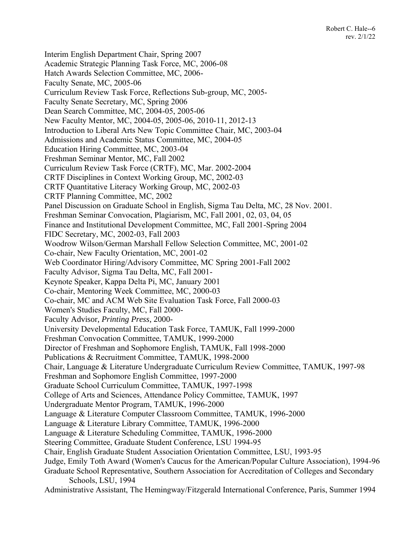Interim English Department Chair, Spring 2007 Academic Strategic Planning Task Force, MC, 2006-08 Hatch Awards Selection Committee, MC, 2006- Faculty Senate, MC, 2005-06 Curriculum Review Task Force, Reflections Sub-group, MC, 2005- Faculty Senate Secretary, MC, Spring 2006 Dean Search Committee, MC, 2004-05, 2005-06 New Faculty Mentor, MC, 2004-05, 2005-06, 2010-11, 2012-13 Introduction to Liberal Arts New Topic Committee Chair, MC, 2003-04 Admissions and Academic Status Committee, MC, 2004-05 Education Hiring Committee, MC, 2003-04 Freshman Seminar Mentor, MC, Fall 2002 Curriculum Review Task Force (CRTF), MC, Mar. 2002-2004 CRTF Disciplines in Context Working Group, MC, 2002-03 CRTF Quantitative Literacy Working Group, MC, 2002-03 CRTF Planning Committee, MC, 2002 Panel Discussion on Graduate School in English, Sigma Tau Delta, MC, 28 Nov. 2001. Freshman Seminar Convocation, Plagiarism, MC, Fall 2001, 02, 03, 04, 05 Finance and Institutional Development Committee, MC, Fall 2001-Spring 2004 FIDC Secretary, MC, 2002-03, Fall 2003 Woodrow Wilson/German Marshall Fellow Selection Committee, MC, 2001-02 Co-chair, New Faculty Orientation, MC, 2001-02 Web Coordinator Hiring/Advisory Committee, MC Spring 2001-Fall 2002 Faculty Advisor, Sigma Tau Delta, MC, Fall 2001- Keynote Speaker, Kappa Delta Pi, MC, January 2001 Co-chair, Mentoring Week Committee, MC, 2000-03 Co-chair, MC and ACM Web Site Evaluation Task Force, Fall 2000-03 Women's Studies Faculty, MC, Fall 2000- Faculty Advisor, *Printing Press*, 2000- University Developmental Education Task Force, TAMUK, Fall 1999-2000 Freshman Convocation Committee, TAMUK, 1999-2000 Director of Freshman and Sophomore English, TAMUK, Fall 1998-2000 Publications & Recruitment Committee, TAMUK, 1998-2000 Chair, Language & Literature Undergraduate Curriculum Review Committee, TAMUK, 1997-98 Freshman and Sophomore English Committee, 1997-2000 Graduate School Curriculum Committee, TAMUK, 1997-1998 College of Arts and Sciences, Attendance Policy Committee, TAMUK, 1997 Undergraduate Mentor Program, TAMUK, 1996-2000 Language & Literature Computer Classroom Committee, TAMUK, 1996-2000 Language & Literature Library Committee, TAMUK, 1996-2000 Language & Literature Scheduling Committee, TAMUK, 1996-2000 Steering Committee, Graduate Student Conference, LSU 1994-95 Chair, English Graduate Student Association Orientation Committee, LSU, 1993-95 Judge, Emily Toth Award (Women's Caucus for the American/Popular Culture Association), 1994-96 Graduate School Representative, Southern Association for Accreditation of Colleges and Secondary Schools, LSU, 1994

Administrative Assistant, The Hemingway/Fitzgerald International Conference, Paris, Summer 1994